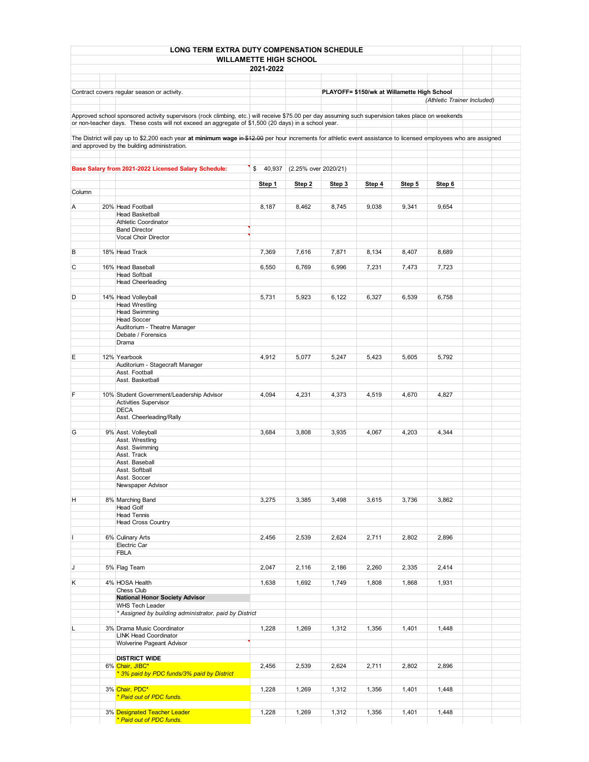|        | LONG TERM EXTRA DUTY COMPENSATION SCHEDULE                                                                                                                        |                               |                                |        |                                             |        |                             |  |
|--------|-------------------------------------------------------------------------------------------------------------------------------------------------------------------|-------------------------------|--------------------------------|--------|---------------------------------------------|--------|-----------------------------|--|
|        |                                                                                                                                                                   | <b>WILLAMETTE HIGH SCHOOL</b> |                                |        |                                             |        |                             |  |
|        |                                                                                                                                                                   | 2021-2022                     |                                |        |                                             |        |                             |  |
|        |                                                                                                                                                                   |                               |                                |        |                                             |        |                             |  |
|        |                                                                                                                                                                   |                               |                                |        |                                             |        |                             |  |
|        | Contract covers regular season or activity.                                                                                                                       |                               |                                |        | PLAYOFF= \$150/wk at Willamette High School |        |                             |  |
|        |                                                                                                                                                                   |                               |                                |        |                                             |        | (Athletic Trainer Included) |  |
|        | Approved school sponsored activity supervisors (rock climbing, etc.) will receive \$75.00 per day assuming such supervision takes place on weekends               |                               |                                |        |                                             |        |                             |  |
|        | or non-teacher days. These costs will not exceed an aggregate of \$1,500 (20 days) in a school year.                                                              |                               |                                |        |                                             |        |                             |  |
|        |                                                                                                                                                                   |                               |                                |        |                                             |        |                             |  |
|        | The District will pay up to \$2,200 each year at minimum wage in \$12.00 per hour increments for athletic event assistance to licensed employees who are assigned |                               |                                |        |                                             |        |                             |  |
|        | and approved by the building administration.                                                                                                                      |                               |                                |        |                                             |        |                             |  |
|        |                                                                                                                                                                   |                               |                                |        |                                             |        |                             |  |
|        | Base Salary from 2021-2022 Licensed Salary Schedule:                                                                                                              |                               | \$ 40,937 (2.25% over 2020/21) |        |                                             |        |                             |  |
|        |                                                                                                                                                                   |                               |                                |        |                                             |        |                             |  |
|        |                                                                                                                                                                   | Step 1                        | Step 2                         | Step 3 | Step 4                                      | Step 5 | Step 6                      |  |
| Column |                                                                                                                                                                   |                               |                                |        |                                             |        |                             |  |
| Α      | 20% Head Football                                                                                                                                                 | 8,187                         | 8,462                          | 8,745  | 9,038                                       | 9,341  | 9,654                       |  |
|        | <b>Head Basketball</b>                                                                                                                                            |                               |                                |        |                                             |        |                             |  |
|        | <b>Athletic Coordinator</b>                                                                                                                                       |                               |                                |        |                                             |        |                             |  |
|        | <b>Band Director</b>                                                                                                                                              |                               |                                |        |                                             |        |                             |  |
|        | Vocal Choir Director                                                                                                                                              |                               |                                |        |                                             |        |                             |  |
| В      | 18% Head Track                                                                                                                                                    | 7,369                         | 7,616                          | 7,871  | 8,134                                       | 8,407  | 8,689                       |  |
|        |                                                                                                                                                                   |                               |                                |        |                                             |        |                             |  |
| С      | 16% Head Baseball                                                                                                                                                 | 6,550                         | 6,769                          | 6,996  | 7,231                                       | 7,473  | 7,723                       |  |
|        | <b>Head Softball</b><br><b>Head Cheerleading</b>                                                                                                                  |                               |                                |        |                                             |        |                             |  |
|        |                                                                                                                                                                   |                               |                                |        |                                             |        |                             |  |
| D      | 14% Head Volleyball                                                                                                                                               | 5,731                         | 5,923                          | 6,122  | 6,327                                       | 6,539  | 6,758                       |  |
|        | <b>Head Wrestling</b>                                                                                                                                             |                               |                                |        |                                             |        |                             |  |
|        | <b>Head Swimming</b><br><b>Head Soccer</b>                                                                                                                        |                               |                                |        |                                             |        |                             |  |
|        | Auditorium - Theatre Manager                                                                                                                                      |                               |                                |        |                                             |        |                             |  |
|        | Debate / Forensics                                                                                                                                                |                               |                                |        |                                             |        |                             |  |
|        | Drama                                                                                                                                                             |                               |                                |        |                                             |        |                             |  |
| E      | 12% Yearbook                                                                                                                                                      | 4,912                         | 5,077                          | 5,247  | 5,423                                       | 5,605  | 5,792                       |  |
|        | Auditorium - Stagecraft Manager                                                                                                                                   |                               |                                |        |                                             |        |                             |  |
|        | Asst. Football                                                                                                                                                    |                               |                                |        |                                             |        |                             |  |
|        | Asst. Basketball                                                                                                                                                  |                               |                                |        |                                             |        |                             |  |
| F      |                                                                                                                                                                   |                               |                                |        |                                             |        |                             |  |
|        | 10% Student Government/Leadership Advisor<br><b>Activities Supervisor</b>                                                                                         | 4,094                         | 4,231                          | 4,373  | 4,519                                       | 4,670  | 4,827                       |  |
|        | <b>DECA</b>                                                                                                                                                       |                               |                                |        |                                             |        |                             |  |
|        | Asst. Cheerleading/Rally                                                                                                                                          |                               |                                |        |                                             |        |                             |  |
|        |                                                                                                                                                                   |                               |                                |        |                                             |        |                             |  |
| G      | 9% Asst. Volleyball<br>Asst. Wrestling                                                                                                                            | 3,684                         | 3,808                          | 3,935  | 4,067                                       | 4,203  | 4,344                       |  |
|        | Asst. Swimming                                                                                                                                                    |                               |                                |        |                                             |        |                             |  |
|        | Asst. Track                                                                                                                                                       |                               |                                |        |                                             |        |                             |  |
|        | Asst. Baseball                                                                                                                                                    |                               |                                |        |                                             |        |                             |  |
|        | Asst. Softball<br>Asst. Soccer                                                                                                                                    |                               |                                |        |                                             |        |                             |  |
|        | Newspaper Advisor                                                                                                                                                 |                               |                                |        |                                             |        |                             |  |
|        |                                                                                                                                                                   |                               |                                |        |                                             |        |                             |  |
| н      | 8% Marching Band                                                                                                                                                  | 3,275                         | 3,385                          | 3,498  | 3,615                                       | 3,736  | 3,862                       |  |
|        | <b>Head Golf</b><br><b>Head Tennis</b>                                                                                                                            |                               |                                |        |                                             |        |                             |  |
|        | <b>Head Cross Country</b>                                                                                                                                         |                               |                                |        |                                             |        |                             |  |
|        |                                                                                                                                                                   |                               |                                |        |                                             |        |                             |  |
| L      | 6% Culinary Arts                                                                                                                                                  | 2,456                         | 2,539                          | 2,624  | 2,711                                       | 2,802  | 2,896                       |  |
|        | Electric Car<br><b>FBLA</b>                                                                                                                                       |                               |                                |        |                                             |        |                             |  |
|        |                                                                                                                                                                   |                               |                                |        |                                             |        |                             |  |
| J      | 5% Flag Team                                                                                                                                                      | 2,047                         | 2,116                          | 2,186  | 2,260                                       | 2,335  | 2,414                       |  |
|        |                                                                                                                                                                   |                               |                                |        |                                             |        |                             |  |
| Κ      | 4% HOSA Health<br>Chess Club                                                                                                                                      | 1,638                         | 1,692                          | 1,749  | 1,808                                       | 1,868  | 1,931                       |  |
|        | <b>National Honor Society Advisor</b>                                                                                                                             |                               |                                |        |                                             |        |                             |  |
|        | <b>WHS Tech Leader</b>                                                                                                                                            |                               |                                |        |                                             |        |                             |  |
|        | * Assigned by building administrator, paid by District                                                                                                            |                               |                                |        |                                             |        |                             |  |
|        |                                                                                                                                                                   |                               |                                |        |                                             |        |                             |  |
| L      | 3% Drama Music Coordinator<br><b>LINK Head Coordinator</b>                                                                                                        | 1,228                         | 1,269                          | 1,312  | 1,356                                       | 1,401  | 1,448                       |  |
|        | Wolverine Pageant Advisor                                                                                                                                         |                               |                                |        |                                             |        |                             |  |
|        |                                                                                                                                                                   |                               |                                |        |                                             |        |                             |  |
|        | <b>DISTRICT WIDE</b>                                                                                                                                              |                               |                                |        |                                             |        |                             |  |
|        | 6% Chair, JIBC*<br>* 3% paid by PDC funds/3% paid by District                                                                                                     | 2,456                         | 2,539                          | 2,624  | 2,711                                       | 2,802  | 2,896                       |  |
|        |                                                                                                                                                                   |                               |                                |        |                                             |        |                             |  |
|        | 3% Chair, PDC*                                                                                                                                                    | 1,228                         | 1,269                          | 1,312  | 1,356                                       | 1,401  | 1,448                       |  |
|        | * Paid out of PDC funds.                                                                                                                                          |                               |                                |        |                                             |        |                             |  |
|        | 3% Designated Teacher Leader                                                                                                                                      | 1,228                         | 1,269                          | 1,312  | 1,356                                       | 1,401  | 1,448                       |  |
|        | * Paid out of PDC funds.                                                                                                                                          |                               |                                |        |                                             |        |                             |  |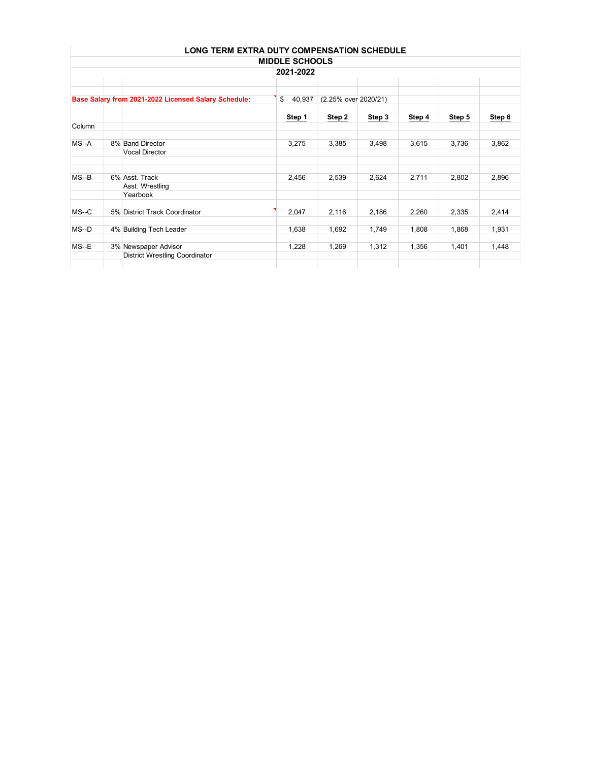|                                                      |  | <b>LONG TERM EXTRA DUTY COMPENSATION SCHEDULE</b> |                       |        |        |        |        |        |  |
|------------------------------------------------------|--|---------------------------------------------------|-----------------------|--------|--------|--------|--------|--------|--|
|                                                      |  |                                                   | <b>MIDDLE SCHOOLS</b> |        |        |        |        |        |  |
| 2021-2022                                            |  |                                                   |                       |        |        |        |        |        |  |
|                                                      |  |                                                   |                       |        |        |        |        |        |  |
| Base Salary from 2021-2022 Licensed Salary Schedule: |  | \$<br>40,937                                      | (2.25% over 2020/21)  |        |        |        |        |        |  |
|                                                      |  |                                                   | Step 1                | Step 2 | Step 3 | Step 4 | Step 5 | Step 6 |  |
| Column                                               |  |                                                   |                       |        |        |        |        |        |  |
| $MS-A$                                               |  | 8% Band Director                                  | 3,275                 | 3,385  | 3,498  | 3,615  | 3,736  | 3,862  |  |
|                                                      |  | <b>Vocal Director</b>                             |                       |        |        |        |        |        |  |
|                                                      |  |                                                   |                       |        |        |        |        |        |  |
| $MS-B$                                               |  | 6% Asst. Track                                    | 2,456                 | 2,539  | 2,624  | 2,711  | 2,802  | 2,896  |  |
|                                                      |  | Asst. Wrestling<br>Yearbook                       |                       |        |        |        |        |        |  |
| $MS-C$                                               |  | 5% District Track Coordinator                     | 2,047                 | 2,116  | 2,186  | 2,260  | 2,335  | 2,414  |  |
| $MS-D$                                               |  | 4% Building Tech Leader                           | 1,638                 | 1,692  | 1,749  | 1,808  | 1,868  | 1,931  |  |
| $MS-E$                                               |  | 3% Newspaper Advisor                              | 1,228                 | 1,269  | 1,312  | 1,356  | 1,401  | 1,448  |  |
|                                                      |  | <b>District Wrestling Coordinator</b>             |                       |        |        |        |        |        |  |